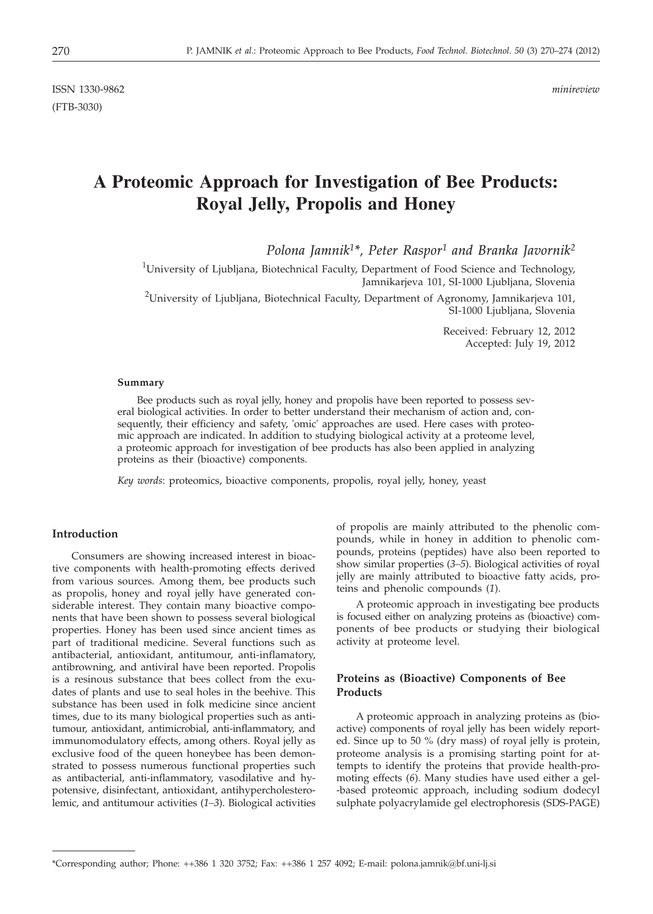ISSN 1330-9862 *minireview* (FTB-3030)

# **A Proteomic Approach for Investigation of Bee Products: Royal Jelly, Propolis and Honey**

*Polona Jamnik1\*, Peter Raspor1 and Branka Javornik2*

<sup>1</sup>University of Ljubljana, Biotechnical Faculty, Department of Food Science and Technology, Jamnikarjeva 101, SI-1000 Ljubljana, Slovenia

 $^2$ University of Ljubljana, Biotechnical Faculty, Department of Agronomy, Jamnikarjeva 101, SI-1000 Ljubljana, Slovenia

> Received: February 12, 2012 Accepted: July 19, 2012

#### **Summary**

Bee products such as royal jelly, honey and propolis have been reported to possess several biological activities. In order to better understand their mechanism of action and, consequently, their efficiency and safety, 'omic' approaches are used. Here cases with proteomic approach are indicated. In addition to studying biological activity at a proteome level, a proteomic approach for investigation of bee products has also been applied in analyzing proteins as their (bioactive) components.

*Key words*: proteomics, bioactive components, propolis, royal jelly, honey, yeast

## **Introduction**

Consumers are showing increased interest in bioactive components with health-promoting effects derived from various sources. Among them, bee products such as propolis, honey and royal jelly have generated considerable interest. They contain many bioactive components that have been shown to possess several biological properties. Honey has been used since ancient times as part of traditional medicine. Several functions such as antibacterial, antioxidant, antitumour, anti-inflamatory, antibrowning, and antiviral have been reported. Propolis is a resinous substance that bees collect from the exudates of plants and use to seal holes in the beehive. This substance has been used in folk medicine since ancient times, due to its many biological properties such as antitumour, antioxidant, antimicrobial, anti-inflammatory, and immunomodulatory effects, among others. Royal jelly as exclusive food of the queen honeybee has been demonstrated to possess numerous functional properties such as antibacterial, anti-inflammatory, vasodilative and hypotensive, disinfectant, antioxidant, antihypercholesterolemic, and antitumour activities (*1–3*). Biological activities

of propolis are mainly attributed to the phenolic compounds, while in honey in addition to phenolic compounds, proteins (peptides) have also been reported to show similar properties (*3–5*). Biological activities of royal jelly are mainly attributed to bioactive fatty acids, proteins and phenolic compounds (*1*).

A proteomic approach in investigating bee products is focused either on analyzing proteins as (bioactive) components of bee products or studying their biological activity at proteome level.

## **Proteins as (Bioactive) Components of Bee Products**

A proteomic approach in analyzing proteins as (bioactive) components of royal jelly has been widely reported. Since up to 50 % (dry mass) of royal jelly is protein, proteome analysis is a promising starting point for attempts to identify the proteins that provide health-promoting effects (*6*). Many studies have used either a gel- -based proteomic approach, including sodium dodecyl sulphate polyacrylamide gel electrophoresis (SDS-PAGE)

<sup>\*</sup>Corresponding author; Phone: ++386 1 320 3752; Fax: ++386 1 257 4092; E-mail: polona.jamnik@bf.uni-lj.si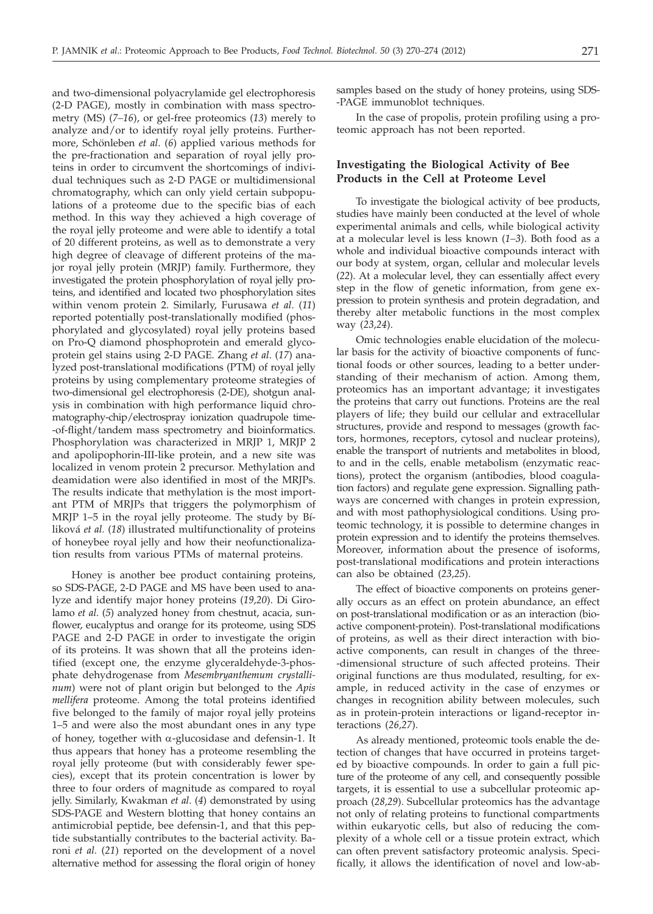and two-dimensional polyacrylamide gel electrophoresis (2-D PAGE), mostly in combination with mass spectrometry (MS) (*7–16*), or gel-free proteomics (*13*) merely to analyze and/or to identify royal jelly proteins. Furthermore, Schönleben *et al*. (*6*) applied various methods for the pre-fractionation and separation of royal jelly proteins in order to circumvent the shortcomings of individual techniques such as 2-D PAGE or multidimensional chromatography, which can only yield certain subpopulations of a proteome due to the specific bias of each method. In this way they achieved a high coverage of the royal jelly proteome and were able to identify a total of 20 different proteins, as well as to demonstrate a very high degree of cleavage of different proteins of the major royal jelly protein (MRJP) family. Furthermore, they investigated the protein phosphorylation of royal jelly proteins, and identified and located two phosphorylation sites within venom protein 2. Similarly, Furusawa *et al*. (*11*) reported potentially post-translationally modified (phosphorylated and glycosylated) royal jelly proteins based on Pro-Q diamond phosphoprotein and emerald glycoprotein gel stains using 2-D PAGE. Zhang *et al*. (*17*) analyzed post-translational modifications (PTM) of royal jelly proteins by using complementary proteome strategies of two-dimensional gel electrophoresis (2-DE), shotgun analysis in combination with high performance liquid chromatography-chip/electrospray ionization quadrupole time- -of-flight/tandem mass spectrometry and bioinformatics. Phosphorylation was characterized in MRJP 1, MRJP 2 and apolipophorin-III-like protein, and a new site was localized in venom protein 2 precursor. Methylation and deamidation were also identified in most of the MRJPs. The results indicate that methylation is the most important PTM of MRJPs that triggers the polymorphism of MRJP 1–5 in the royal jelly proteome. The study by Bíliková *et al.* (*18*) illustrated multifunctionality of proteins of honeybee royal jelly and how their neofunctionalization results from various PTMs of maternal proteins.

Honey is another bee product containing proteins, so SDS-PAGE, 2-D PAGE and MS have been used to analyze and identify major honey proteins (*19,20*). Di Girolamo *et al*. (*5*) analyzed honey from chestnut, acacia, sunflower, eucalyptus and orange for its proteome, using SDS PAGE and 2-D PAGE in order to investigate the origin of its proteins. It was shown that all the proteins identified (except one, the enzyme glyceraldehyde-3-phosphate dehydrogenase from *Mesembryanthemum crystallinum*) were not of plant origin but belonged to the *Apis mellifera* proteome. Among the total proteins identified five belonged to the family of major royal jelly proteins 1–5 and were also the most abundant ones in any type of honey, together with  $\alpha$ -glucosidase and defensin-1. It thus appears that honey has a proteome resembling the royal jelly proteome (but with considerably fewer species), except that its protein concentration is lower by three to four orders of magnitude as compared to royal jelly. Similarly, Kwakman *et al*. (*4*) demonstrated by using SDS-PAGE and Western blotting that honey contains an antimicrobial peptide, bee defensin-1, and that this peptide substantially contributes to the bacterial activity. Baroni *et al.* (*21*) reported on the development of a novel alternative method for assessing the floral origin of honey samples based on the study of honey proteins, using SDS- -PAGE immunoblot techniques.

In the case of propolis, protein profiling using a proteomic approach has not been reported.

## **Investigating the Biological Activity of Bee Products in the Cell at Proteome Level**

To investigate the biological activity of bee products, studies have mainly been conducted at the level of whole experimental animals and cells, while biological activity at a molecular level is less known (*1–3*). Both food as a whole and individual bioactive compounds interact with our body at system, organ, cellular and molecular levels (*22*). At a molecular level, they can essentially affect every step in the flow of genetic information, from gene expression to protein synthesis and protein degradation, and thereby alter metabolic functions in the most complex way (*23,24*).

Omic technologies enable elucidation of the molecular basis for the activity of bioactive components of functional foods or other sources, leading to a better understanding of their mechanism of action. Among them, proteomics has an important advantage; it investigates the proteins that carry out functions. Proteins are the real players of life; they build our cellular and extracellular structures, provide and respond to messages (growth factors, hormones, receptors, cytosol and nuclear proteins), enable the transport of nutrients and metabolites in blood, to and in the cells, enable metabolism (enzymatic reactions), protect the organism (antibodies, blood coagulation factors) and regulate gene expression. Signalling pathways are concerned with changes in protein expression, and with most pathophysiological conditions. Using proteomic technology, it is possible to determine changes in protein expression and to identify the proteins themselves. Moreover, information about the presence of isoforms, post-translational modifications and protein interactions can also be obtained (*23,25*).

The effect of bioactive components on proteins generally occurs as an effect on protein abundance, an effect on post-translational modification or as an interaction (bioactive component-protein). Post-translational modifications of proteins, as well as their direct interaction with bioactive components, can result in changes of the three- -dimensional structure of such affected proteins. Their original functions are thus modulated, resulting, for example, in reduced activity in the case of enzymes or changes in recognition ability between molecules, such as in protein-protein interactions or ligand-receptor interactions (*26,27*).

As already mentioned, proteomic tools enable the detection of changes that have occurred in proteins targeted by bioactive compounds. In order to gain a full picture of the proteome of any cell, and consequently possible targets, it is essential to use a subcellular proteomic approach (*28,29*). Subcellular proteomics has the advantage not only of relating proteins to functional compartments within eukaryotic cells, but also of reducing the complexity of a whole cell or a tissue protein extract, which can often prevent satisfactory proteomic analysis. Specifically, it allows the identification of novel and low-ab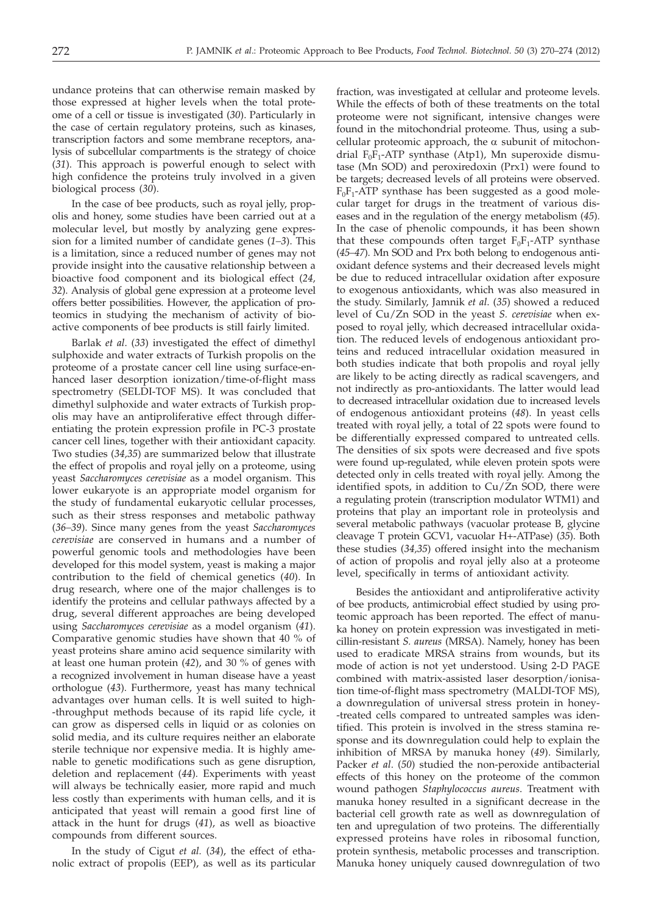undance proteins that can otherwise remain masked by those expressed at higher levels when the total proteome of a cell or tissue is investigated (*30*). Particularly in the case of certain regulatory proteins, such as kinases, transcription factors and some membrane receptors, analysis of subcellular compartments is the strategy of choice (*31*). This approach is powerful enough to select with high confidence the proteins truly involved in a given biological process (*30*).

In the case of bee products, such as royal jelly, propolis and honey, some studies have been carried out at a molecular level, but mostly by analyzing gene expression for a limited number of candidate genes (*1–3*). This is a limitation, since a reduced number of genes may not provide insight into the causative relationship between a bioactive food component and its biological effect (*24, 32*). Analysis of global gene expression at a proteome level offers better possibilities. However, the application of proteomics in studying the mechanism of activity of bioactive components of bee products is still fairly limited.

Barlak *et al*. (*33*) investigated the effect of dimethyl sulphoxide and water extracts of Turkish propolis on the proteome of a prostate cancer cell line using surface-enhanced laser desorption ionization/time-of-flight mass spectrometry (SELDI-TOF MS). It was concluded that dimethyl sulphoxide and water extracts of Turkish propolis may have an antiproliferative effect through differentiating the protein expression profile in PC-3 prostate cancer cell lines, together with their antioxidant capacity. Two studies (*34,35*) are summarized below that illustrate the effect of propolis and royal jelly on a proteome, using yeast *Saccharomyces cerevisiae* as a model organism. This lower eukaryote is an appropriate model organism for the study of fundamental eukaryotic cellular processes, such as their stress responses and metabolic pathway (*36–39*). Since many genes from the yeast *Saccharomyces cerevisiae* are conserved in humans and a number of powerful genomic tools and methodologies have been developed for this model system, yeast is making a major contribution to the field of chemical genetics (*40*). In drug research, where one of the major challenges is to identify the proteins and cellular pathways affected by a drug, several different approaches are being developed using *Saccharomyces cerevisiae* as a model organism (*41*). Comparative genomic studies have shown that 40 % of yeast proteins share amino acid sequence similarity with at least one human protein (*42*), and 30 % of genes with a recognized involvement in human disease have a yeast orthologue (*43*). Furthermore, yeast has many technical advantages over human cells. It is well suited to high- -throughput methods because of its rapid life cycle, it can grow as dispersed cells in liquid or as colonies on solid media, and its culture requires neither an elaborate sterile technique nor expensive media. It is highly amenable to genetic modifications such as gene disruption, deletion and replacement (*44*). Experiments with yeast will always be technically easier, more rapid and much less costly than experiments with human cells, and it is anticipated that yeast will remain a good first line of attack in the hunt for drugs (*41*), as well as bioactive compounds from different sources.

In the study of Cigut *et al.* (*34*), the effect of ethanolic extract of propolis (EEP), as well as its particular fraction, was investigated at cellular and proteome levels. While the effects of both of these treatments on the total proteome were not significant, intensive changes were found in the mitochondrial proteome. Thus, using a subcellular proteomic approach, the  $\alpha$  subunit of mitochondrial  $F_0F_1$ -ATP synthase (Atp1), Mn superoxide dismutase (Mn SOD) and peroxiredoxin (Prx1) were found to be targets; decreased levels of all proteins were observed.  $F_0F_1$ -ATP synthase has been suggested as a good molecular target for drugs in the treatment of various diseases and in the regulation of the energy metabolism (*45*). In the case of phenolic compounds, it has been shown that these compounds often target  $F_0F_1$ -ATP synthase (*45–47*). Mn SOD and Prx both belong to endogenous antioxidant defence systems and their decreased levels might be due to reduced intracellular oxidation after exposure to exogenous antioxidants, which was also measured in the study. Similarly, Jamnik *et al*. (*35*) showed a reduced level of Cu/Zn SOD in the yeast *S. cerevisiae* when exposed to royal jelly, which decreased intracellular oxidation. The reduced levels of endogenous antioxidant proteins and reduced intracellular oxidation measured in both studies indicate that both propolis and royal jelly are likely to be acting directly as radical scavengers, and not indirectly as pro-antioxidants. The latter would lead to decreased intracellular oxidation due to increased levels of endogenous antioxidant proteins (*48*). In yeast cells treated with royal jelly, a total of 22 spots were found to be differentially expressed compared to untreated cells. The densities of six spots were decreased and five spots were found up-regulated, while eleven protein spots were detected only in cells treated with royal jelly. Among the identified spots, in addition to Cu/Zn SOD, there were a regulating protein (transcription modulator WTM1) and proteins that play an important role in proteolysis and several metabolic pathways (vacuolar protease B, glycine cleavage T protein GCV1, vacuolar H+-ATPase) (*35*). Both these studies (*34,35*) offered insight into the mechanism of action of propolis and royal jelly also at a proteome level, specifically in terms of antioxidant activity.

Besides the antioxidant and antiproliferative activity of bee products, antimicrobial effect studied by using proteomic approach has been reported. The effect of manuka honey on protein expression was investigated in meticillin-resistant *S. aureus* (MRSA). Namely, honey has been used to eradicate MRSA strains from wounds, but its mode of action is not yet understood. Using 2-D PAGE combined with matrix-assisted laser desorption/ionisation time-of-flight mass spectrometry (MALDI-TOF MS), a downregulation of universal stress protein in honey- -treated cells compared to untreated samples was identified. This protein is involved in the stress stamina response and its downregulation could help to explain the inhibition of MRSA by manuka honey (*49*). Similarly, Packer *et al*. (*50*) studied the non-peroxide antibacterial effects of this honey on the proteome of the common wound pathogen *Staphylococcus aureus*. Treatment with manuka honey resulted in a significant decrease in the bacterial cell growth rate as well as downregulation of ten and upregulation of two proteins. The differentially expressed proteins have roles in ribosomal function, protein synthesis, metabolic processes and transcription. Manuka honey uniquely caused downregulation of two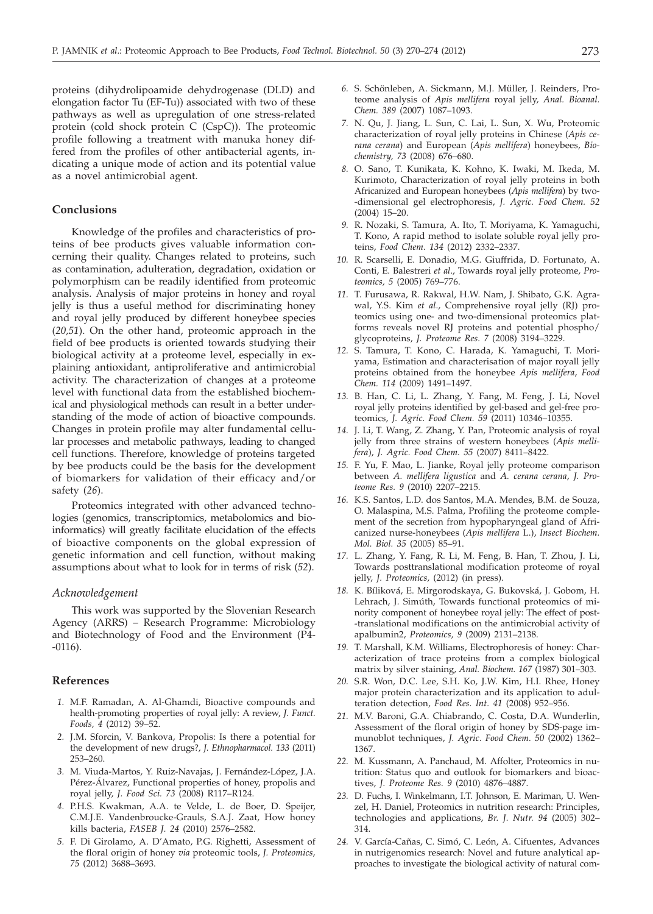proteins (dihydrolipoamide dehydrogenase (DLD) and elongation factor Tu (EF-Tu)) associated with two of these pathways as well as upregulation of one stress-related protein (cold shock protein C (CspC)). The proteomic profile following a treatment with manuka honey differed from the profiles of other antibacterial agents, indicating a unique mode of action and its potential value as a novel antimicrobial agent.

## **Conclusions**

Knowledge of the profiles and characteristics of proteins of bee products gives valuable information concerning their quality. Changes related to proteins, such as contamination, adulteration, degradation, oxidation or polymorphism can be readily identified from proteomic analysis. Analysis of major proteins in honey and royal jelly is thus a useful method for discriminating honey and royal jelly produced by different honeybee species (*20,51*). On the other hand, proteomic approach in the field of bee products is oriented towards studying their biological activity at a proteome level, especially in explaining antioxidant, antiproliferative and antimicrobial activity. The characterization of changes at a proteome level with functional data from the established biochemical and physiological methods can result in a better understanding of the mode of action of bioactive compounds. Changes in protein profile may alter fundamental cellular processes and metabolic pathways, leading to changed cell functions. Therefore, knowledge of proteins targeted by bee products could be the basis for the development of biomarkers for validation of their efficacy and/or safety (*26*).

Proteomics integrated with other advanced technologies (genomics, transcriptomics, metabolomics and bioinformatics) will greatly facilitate elucidation of the effects of bioactive components on the global expression of genetic information and cell function, without making assumptions about what to look for in terms of risk (*52*).

### *Acknowledgement*

This work was supported by the Slovenian Research Agency (ARRS) – Research Programme: Microbiology and Biotechnology of Food and the Environment (P4- -0116).

#### **References**

- *1.* M.F. Ramadan, A. Al-Ghamdi, Bioactive compounds and health-promoting properties of royal jelly: A review, *J. Funct. Foods, 4* (2012) 39–52.
- *2.* J.M. Sforcin, V. Bankova, Propolis: Is there a potential for the development of new drugs?, *J. Ethnopharmacol. 133* (2011) 253–260.
- *3.* M. Viuda-Martos, Y. Ruiz-Navajas, J. Fernández-López, J.A. Pérez-Álvarez, Functional properties of honey, propolis and royal jelly, *J. Food Sci. 73* (2008) R117–R124.
- *4.* P.H.S. Kwakman, A.A. te Velde, L. de Boer, D. Speijer, C.M.J.E. Vandenbroucke-Grauls, S.A.J. Zaat, How honey kills bacteria, *FASEB J. 24* (2010) 2576–2582.
- *5.* F. Di Girolamo, A. D'Amato, P.G. Righetti, Assessment of the floral origin of honey *via* proteomic tools, *J. Proteomics, 75* (2012) 3688–3693.
- *6.* S. Schönleben, A. Sickmann, M.J. Müller, J. Reinders, Proteome analysis of *Apis mellifera* royal jelly, *Anal. Bioanal. Chem. 389* (2007) 1087–1093.
- *7.* N. Qu, J. Jiang, L. Sun, C. Lai, L. Sun, X. Wu, Proteomic characterization of royal jelly proteins in Chinese (*Apis cerana cerana*) and European (*Apis mellifera*) honeybees, *Biochemistry, 73* (2008) 676–680.
- *8.* O. Sano, T. Kunikata, K. Kohno, K. Iwaki, M. Ikeda, M. Kurimoto, Characterization of royal jelly proteins in both Africanized and European honeybees (*Apis mellifera*) by two- -dimensional gel electrophoresis, *J. Agric. Food Chem. 52* (2004) 15–20.
- *9.* R. Nozaki, S. Tamura, A. Ito, T. Moriyama, K. Yamaguchi, T. Kono, A rapid method to isolate soluble royal jelly proteins, *Food Chem. 134* (2012) 2332–2337.
- *10.* R. Scarselli, E. Donadio, M.G. Giuffrida, D. Fortunato, A. Conti, E. Balestreri *et al*., Towards royal jelly proteome, *Proteomics, 5* (2005) 769–776.
- *11.* T. Furusawa, R. Rakwal, H.W. Nam, J. Shibato, G.K. Agrawal, Y.S. Kim *et al*., Comprehensive royal jelly (RJ) proteomics using one- and two-dimensional proteomics platforms reveals novel RJ proteins and potential phospho/ glycoproteins, *J. Proteome Res. 7* (2008) 3194–3229.
- *12.* S. Tamura, T. Kono, C. Harada, K. Yamaguchi, T. Moriyama, Estimation and characterisation of major royall jelly proteins obtained from the honeybee *Apis mellifera*, *Food Chem. 114* (2009) 1491–1497.
- *13.* B. Han, C. Li, L. Zhang, Y. Fang, M. Feng, J. Li, Novel royal jelly proteins identified by gel-based and gel-free proteomics, *J. Agric. Food Chem. 59* (2011) 10346–10355.
- *14.* J. Li, T. Wang, Z. Zhang, Y. Pan, Proteomic analysis of royal jelly from three strains of western honeybees (*Apis mellifera*), *J. Agric. Food Chem. 55* (2007) 8411–8422.
- *15.* F. Yu, F. Mao, L. Jianke, Royal jelly proteome comparison between *A. mellifera ligustica* and *A. cerana cerana*, *J. Proteome Res. 9* (2010) 2207–2215.
- *16.* K.S. Santos, L.D. dos Santos, M.A. Mendes, B.M. de Souza, O. Malaspina, M.S. Palma, Profiling the proteome complement of the secretion from hypopharyngeal gland of Africanized nurse-honeybees (*Apis mellifera* L.), *Insect Biochem. Mol. Biol. 35* (2005) 85–91.
- *17.* L. Zhang, Y. Fang, R. Li, M. Feng, B. Han, T. Zhou, J. Li, Towards posttranslational modification proteome of royal jelly, *J. Proteomics,* (2012) (in press).
- *18.* K. Bíliková, E. Mirgorodskaya, G. Bukovská, J. Gobom, H. Lehrach, J. Simúth, Towards functional proteomics of minority component of honeybee royal jelly: The effect of post- -translational modifications on the antimicrobial activity of apalbumin2, *Proteomics, 9* (2009) 2131–2138.
- *19.* T. Marshall, K.M. Williams, Electrophoresis of honey: Characterization of trace proteins from a complex biological matrix by silver staining, *Anal. Biochem. 167* (1987) 301–303.
- *20.* S.R. Won, D.C. Lee, S.H. Ko, J.W. Kim, H.I. Rhee, Honey major protein characterization and its application to adulteration detection, *Food Res. Int. 41* (2008) 952–956.
- *21.* M.V. Baroni, G.A. Chiabrando, C. Costa, D.A. Wunderlin, Assessment of the floral origin of honey by SDS-page immunoblot techniques, *J. Agric. Food Chem. 50* (2002) 1362– 1367.
- *22.* M. Kussmann, A. Panchaud, M. Affolter, Proteomics in nutrition: Status quo and outlook for biomarkers and bioactives, *J. Proteome Res. 9* (2010) 4876–4887.
- *23.* D. Fuchs, I. Winkelmann, I.T. Johnson, E. Mariman, U. Wenzel, H. Daniel, Proteomics in nutrition research: Principles, technologies and applications, *Br. J. Nutr. 94* (2005) 302– 314.
- *24.* V. García-Cañas, C. Simó, C. León, A. Cifuentes, Advances in nutrigenomics research: Novel and future analytical approaches to investigate the biological activity of natural com-